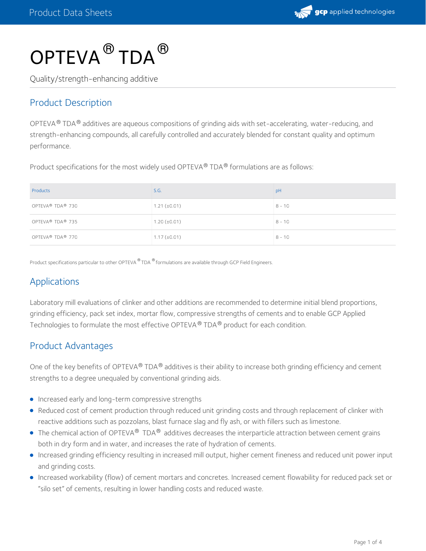

# $\mathsf{OPTEVA}^{\circledR}\mathsf{TDA}^{\circledR}$

Quality/strength-enhancing additive

#### Product Description

OPTEVA  $^\circledR$  TDA  $^\circledR$  additives are aqueous compositions of grinding aids with set-accelerating, water-reducing, and strength-enhancing compounds, all carefully controlled and accurately blended for constant quality and optimum performance.

Product specifications for the most widely used OPTEVA® TDA® formulations are as follows:

| Products                                 | S.G.              | pH       |
|------------------------------------------|-------------------|----------|
| OPTEVA <sup>®</sup> TDA <sup>®</sup> 730 | $1.21 (\pm 0.01)$ | $8 - 10$ |
| OPTEVA® TDA® 735                         | $1.20 (\pm 0.01)$ | $8 - 10$ |
| OPTEVA <sup>®</sup> TDA <sup>®</sup> 770 | $1.17 (\pm 0.01)$ | $8 - 10$ |

Product specifications particular to other OPTEVA ® TDA ® formulations are available through GCP Field Engineers.

#### Applications

Laboratory mill evaluations of clinker and other additions are recommended to determine initial blend proportions, grinding efficiency, pack set index, mortar flow, compressive strengths of cements and to enable GCP Applied Technologies to formulate the most effective OPTEVA  $^\circledR$  TDA  $^\circledR$  product for each condition.

#### Product Advantages

One of the key benefits of OPTEVA® TDA® additives is their ability to increase both grinding efficiency and cement strengths to a degree unequaled by conventional grinding aids.

- **Increased early and long-term compressive strengths**
- Reduced cost of cement production through reduced unit grinding costs and through replacement of clinker with reactive additions such as pozzolans, blast furnace slag and fly ash, or with fillers such as limestone.
- The chemical action of OPTEVA $^\circledR$  TDA $^\circledR$  additives decreases the interparticle attraction between cement grains both in dry form and in water, and increases the rate of hydration of cements.
- Increased grinding efficiency resulting in increased mill output, higher cement fineness and reduced unit power input and grinding costs.
- Increased workability (flow) of cement mortars and concretes. Increased cement flowability for reduced pack set or "silo set" of cements, resulting in lower handling costs and reduced waste.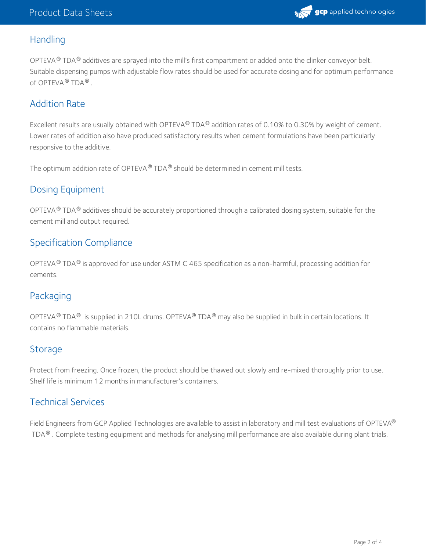

#### **Handling**

OPTEVA  $^{\circledR}$  TDA  $^{\circledR}$  additives are sprayed into the mill's first compartment or added onto the clinker conveyor belt. Suitable dispensing pumps with adjustable flow rates should be used for accurate dosing and for optimum performance of OPTEVA® TDA® .

#### Addition Rate

Excellent results are usually obtained with OPTEVA® TDA® addition rates of 0.10% to 0.30% by weight of cement. Lower rates of addition also have produced satisfactory results when cement formulations have been particularly responsive to the additive.

The optimum addition rate of OPTEVA $^\circledR$  TDA $^\circledR$  should be determined in cement mill tests.

#### Dosing Equipment

OPTEVA $^{\circledR}$  TDA $^{\circledR}$  additives should be accurately proportioned through a calibrated dosing system, suitable for the cement mill and output required.

#### Specification Compliance

OPTEVA  $^{\circledR}$  TDA  $^{\circledR}$  is approved for use under ASTM C 465 specification as a non-harmful, processing addition for cements.

#### Packaging

OPTEVA  $^{\circledR}$  TDA  $^{\circledR}$  is supplied in 210L drums. OPTEVA  $^{\circledR}$  TDA  $^{\circledR}$  may also be supplied in bulk in certain locations. It contains no flammable materials.

#### Storage

Protect from freezing. Once frozen, the product should be thawed out slowly and re-mixed thoroughly prior to use. Shelf life is minimum 12 months in manufacturer's containers.

#### Technical Services

Field Engineers from GCP Applied Technologies are available to assist in laboratory and mill test evaluations of OPTEVA ® <code>TDA®</code> . Complete testing equipment and methods for analysing mill performance are also available during plant trials.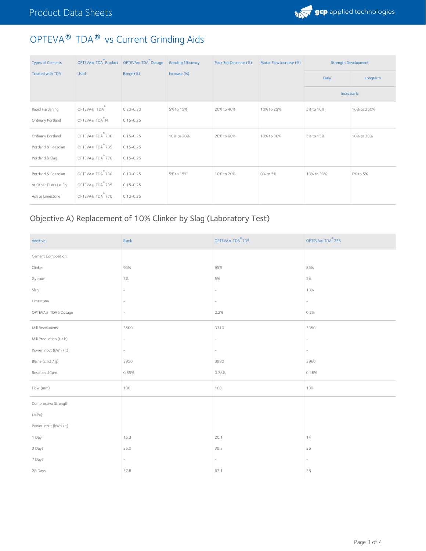

## OPTEVA® TDA® vs Current Grinding Aids

| <b>Types of Cements</b>   | OPTEVA® TDA Product   OPTEVA® TDA Dosage |               | <b>Grinding Efficiency</b> | Pack Set Decrease (%) | Motar Flow Increase (%) | <b>Strength Development</b> |             |
|---------------------------|------------------------------------------|---------------|----------------------------|-----------------------|-------------------------|-----------------------------|-------------|
| <b>Treated with TDA</b>   | <b>Used</b>                              | Range (%)     | Increase (%)               |                       |                         | Early                       | Longterm    |
|                           |                                          |               |                            |                       |                         | Increase %                  |             |
| Rapid Hardening           | OPTEVA® TDA                              | $0.20 - 0.30$ | 5% to 15%                  | 20% to 40%            | 10% to 25%              | 5% to 10%                   | 10% to 250% |
| Ordinary Portland         | OPTEVA® TDA <sup>®</sup> N               | $0.15 - 0.25$ |                            |                       |                         |                             |             |
| Ordinary Portland         | OPTEVA® TDA 730                          | $0.15 - 0.25$ | 10% to 20%                 | 20% to 60%            | 10% to 30%              | 5% to 15%                   | 10% to 30%  |
| Portland & Pozzolan       | OPTEVA® TDA 735                          | $0.15 - 0.25$ |                            |                       |                         |                             |             |
| Portland & Slag           | OPTEVA® TDA 770                          | $0.15 - 0.25$ |                            |                       |                         |                             |             |
| Portland & Pozzolan       | OPTEVA® TDA 730                          | $0.10 - 0.25$ | 5% to 15%                  | 10% to 20%            | 0% to 5%                | 10% to 30%                  | 0% to 5%    |
| or Other Fillers i.e. Fly | OPTEVA® TDA 735                          | $0.15 - 0.25$ |                            |                       |                         |                             |             |
| Ash or Limestone          | OPTEVA® TDA 770                          | $0.10 - 0.25$ |                            |                       |                         |                             |             |

## Objective A) Replacement of 10% Clinker by Slag (Laboratory Test)

| Additive                | Blank                    | OPTEVA® TDA <sup>®</sup> 735 | OPTEVA® TDA <sup>®</sup> 735 |
|-------------------------|--------------------------|------------------------------|------------------------------|
| Cement Composition:     |                          |                              |                              |
| Clinker                 | 95%                      | 95%                          | 85%                          |
| Gypsum                  | 5%                       | 5%                           | 5%                           |
| Slag                    | $\overline{\phantom{a}}$ | $\sim$                       | 10%                          |
| Limestone               |                          |                              | $\overline{\phantom{a}}$     |
| OPTEVA® TDA® Dosage     | $\overline{\phantom{a}}$ | 0.2%                         | 0.2%                         |
| Mill Revolutions        | 3500                     | 3310                         | 3350                         |
| Mill Production (t / h) | $\overline{\phantom{a}}$ | $\overline{\phantom{a}}$     | $\overline{\phantom{0}}$     |
| Power Input (kWh / t)   | $\overline{\phantom{a}}$ | $\overline{\phantom{a}}$     |                              |
| Blaine (cm2 / g)        | 3950                     | 3980                         | 3960                         |
| Residues 40um           | 0.85%                    | 0.78%                        | 0.46%                        |
| Flow (mm)               | 100                      | 100                          | 100                          |
| Compressive Strength    |                          |                              |                              |
| (MPa):                  |                          |                              |                              |
| Power Input (kWh / t)   |                          |                              |                              |
| 1 Day                   | 15.3                     | 20.1                         | 14                           |
| 3 Days                  | 35.0                     | 39.2                         | 36                           |
| 7 Days                  | $\sim$                   | $\overline{\phantom{a}}$     |                              |
| 28 Days                 | 57.8                     | 62.1                         | 58                           |